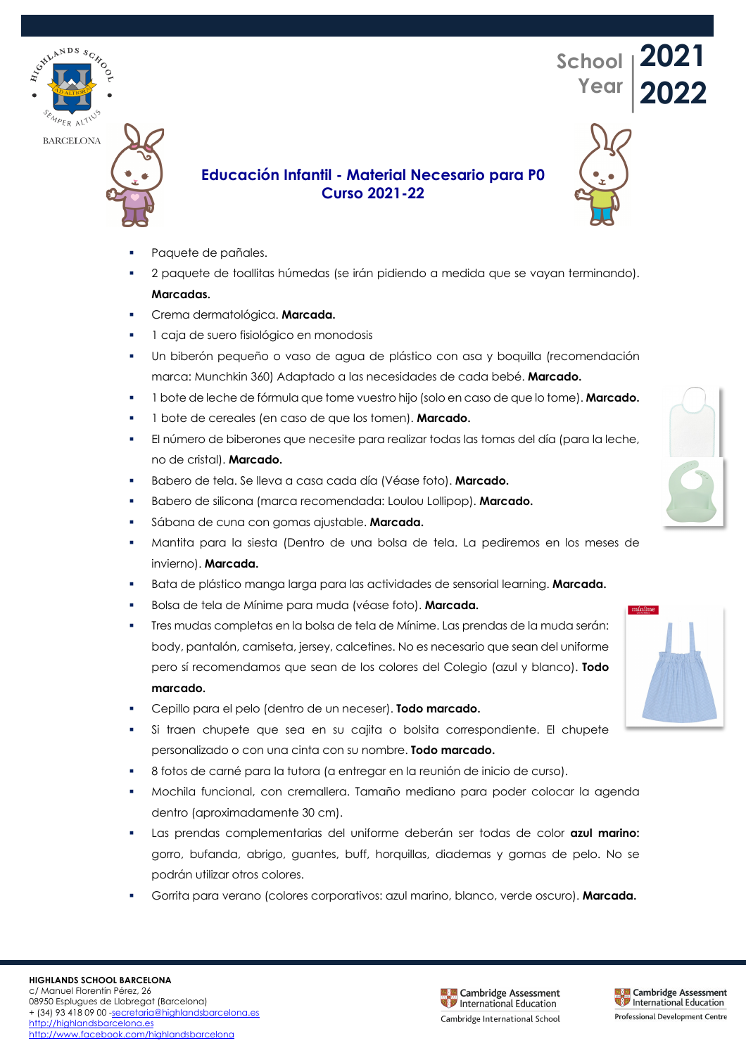**BARCELONA** 





## **Educación Infantil - Material Necesario para P0 Curso 2021-22**

- Paquete de pañales.
- § 2 paquete de toallitas húmedas (se irán pidiendo a medida que se vayan terminando). **Marcadas.**
- § Crema dermatológica. **Marcada.**
- 1 caja de suero fisiológico en monodosis
- Un biberón pequeño o vaso de agua de plástico con asa y boquilla (recomendación marca: Munchkin 360) Adaptado a las necesidades de cada bebé. **Marcado.**
- § 1 bote de leche de fórmula que tome vuestro hijo (solo en caso de que lo tome). **Marcado.**
- § 1 bote de cereales (en caso de que los tomen). **Marcado.**
- § El número de biberones que necesite para realizar todas las tomas del día (para la leche, no de cristal). **Marcado.**
- § Babero de tela. Se lleva a casa cada día (Véase foto). **Marcado.**
- § Babero de silicona (marca recomendada: Loulou Lollipop). **Marcado.**
- § Sábana de cuna con gomas ajustable. **Marcada.**
- § Mantita para la siesta (Dentro de una bolsa de tela. La pediremos en los meses de invierno). **Marcada.**
- § Bata de plástico manga larga para las actividades de sensorial learning. **Marcada.**
- § Bolsa de tela de Mínime para muda (véase foto). **Marcada.**
- § Tres mudas completas en la bolsa de tela de Mínime. Las prendas de la muda serán: body, pantalón, camiseta, jersey, calcetines. No es necesario que sean del uniforme pero sí recomendamos que sean de los colores del Colegio (azul y blanco). **Todo marcado.**
- § Cepillo para el pelo (dentro de un neceser). **Todo marcado.**
- § Si traen chupete que sea en su cajita o bolsita correspondiente. El chupete personalizado o con una cinta con su nombre. **Todo marcado.**
- § 8 fotos de carné para la tutora (a entregar en la reunión de inicio de curso).
- § Mochila funcional, con cremallera. Tamaño mediano para poder colocar la agenda dentro (aproximadamente 30 cm).
- § Las prendas complementarias del uniforme deberán ser todas de color **azul marino:**  gorro, bufanda, abrigo, guantes, buff, horquillas, diademas y gomas de pelo. No se podrán utilizar otros colores.
- § Gorrita para verano (colores corporativos: azul marino, blanco, verde oscuro). **Marcada.**